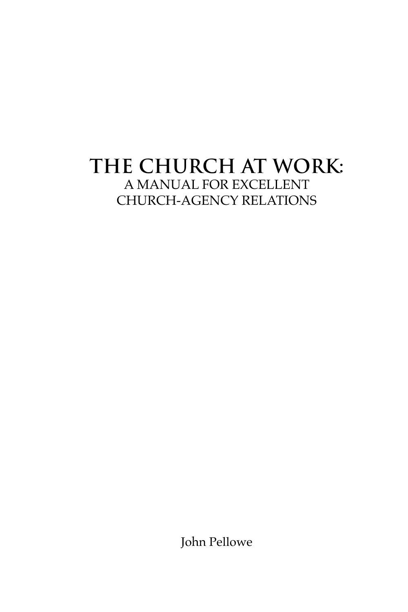# **THE CHURCH AT WORK:** A MANUAL FOR EXCELLENT CHURCH-AGENCY RELATIONS

John Pellowe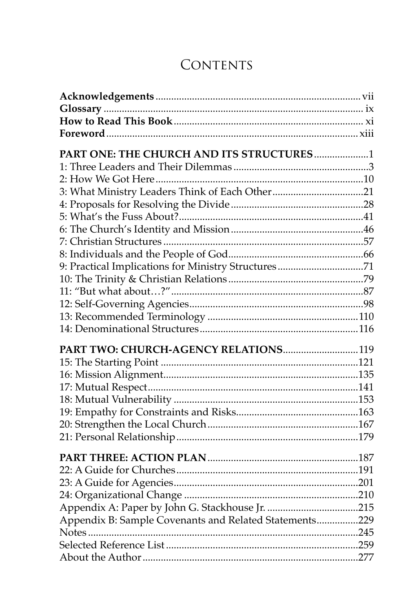## **CONTENTS**

| PART ONE: THE CHURCH AND ITS STRUCTURES1               |  |
|--------------------------------------------------------|--|
|                                                        |  |
|                                                        |  |
| 3: What Ministry Leaders Think of Each Other21         |  |
|                                                        |  |
|                                                        |  |
|                                                        |  |
|                                                        |  |
|                                                        |  |
| 9: Practical Implications for Ministry Structures71    |  |
|                                                        |  |
|                                                        |  |
|                                                        |  |
|                                                        |  |
|                                                        |  |
|                                                        |  |
| PART TWO: CHURCH-AGENCY RELATIONS 119                  |  |
|                                                        |  |
|                                                        |  |
|                                                        |  |
|                                                        |  |
|                                                        |  |
|                                                        |  |
|                                                        |  |
|                                                        |  |
|                                                        |  |
|                                                        |  |
|                                                        |  |
|                                                        |  |
| Appendix B: Sample Covenants and Related Statements229 |  |
|                                                        |  |
|                                                        |  |
|                                                        |  |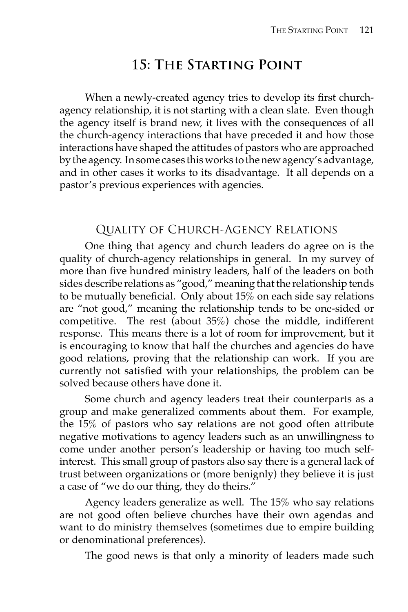## **15: The Starting Point**

When a newly-created agency tries to develop its first churchagency relationship, it is not starting with a clean slate. Even though the agency itself is brand new, it lives with the consequences of all the church-agency interactions that have preceded it and how those interactions have shaped the attitudes of pastors who are approached by the agency. In some cases this works to the new agency's advantage, and in other cases it works to its disadvantage. It all depends on a pastor's previous experiences with agencies.

## Quality of Church-Agency Relations

 One thing that agency and church leaders do agree on is the quality of church-agency relationships in general. In my survey of more than five hundred ministry leaders, half of the leaders on both sides describe relations as "good," meaning that the relationship tends to be mutually beneficial. Only about  $15\%$  on each side say relations are "not good," meaning the relationship tends to be one-sided or competitive. The rest (about 35%) chose the middle, indifferent response. This means there is a lot of room for improvement, but it is encouraging to know that half the churches and agencies do have good relations, proving that the relationship can work. If you are currently not satisfied with your relationships, the problem can be solved because others have done it.

 Some church and agency leaders treat their counterparts as a group and make generalized comments about them. For example, the 15% of pastors who say relations are not good often attribute negative motivations to agency leaders such as an unwillingness to come under another person's leadership or having too much selfinterest. This small group of pastors also say there is a general lack of trust between organizations or (more benignly) they believe it is just a case of "we do our thing, they do theirs."

 Agency leaders generalize as well. The 15% who say relations are not good often believe churches have their own agendas and want to do ministry themselves (sometimes due to empire building or denominational preferences).

The good news is that only a minority of leaders made such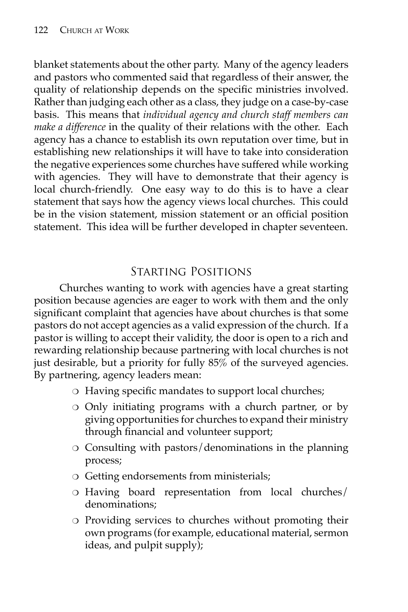blanket statements about the other party. Many of the agency leaders and pastors who commented said that regardless of their answer, the quality of relationship depends on the specific ministries involved. Rather than judging each other as a class, they judge on a case-by-case basis. This means that *individual agency and church staff members can make a difference* in the quality of their relations with the other. Each agency has a chance to establish its own reputation over time, but in establishing new relationships it will have to take into consideration the negative experiences some churches have suffered while working with agencies. They will have to demonstrate that their agency is local church-friendly. One easy way to do this is to have a clear statement that says how the agency views local churches. This could be in the vision statement, mission statement or an official position statement. This idea will be further developed in chapter seventeen.

## Starting Positions

 Churches wanting to work with agencies have a great starting position because agencies are eager to work with them and the only significant complaint that agencies have about churches is that some pastors do not accept agencies as a valid expression of the church. If a pastor is willing to accept their validity, the door is open to a rich and rewarding relationship because partnering with local churches is not just desirable, but a priority for fully 85% of the surveyed agencies. By partnering, agency leaders mean:

- $\circ$  Having specific mandates to support local churches;
- ❍ Only initiating programs with a church partner, or by giving opportunities for churches to expand their ministry through financial and volunteer support;
- ❍ Consulting with pastors/denominations in the planning process;
- ❍ Getting endorsements from ministerials;
- ❍ Having board representation from local churches/ denominations;
- ❍ Providing services to churches without promoting their own programs (for example, educational material, sermon ideas, and pulpit supply);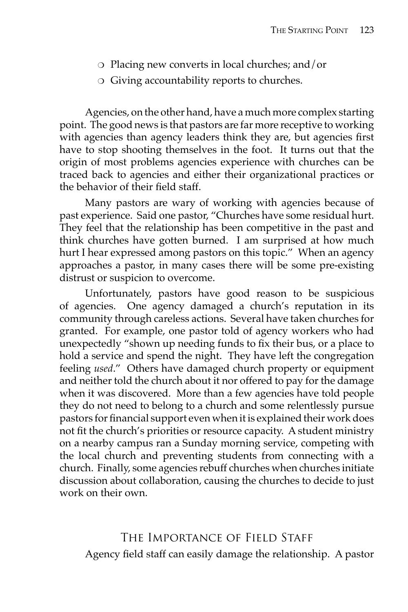- ❍ Placing new converts in local churches; and/or
- ❍ Giving accountability reports to churches.

 Agencies, on the other hand, have a much more complex starting point. The good news is that pastors are far more receptive to working with agencies than agency leaders think they are, but agencies first have to stop shooting themselves in the foot. It turns out that the origin of most problems agencies experience with churches can be traced back to agencies and either their organizational practices or the behavior of their field staff.

 Many pastors are wary of working with agencies because of past experience. Said one pastor, "Churches have some residual hurt. They feel that the relationship has been competitive in the past and think churches have gotten burned. I am surprised at how much hurt I hear expressed among pastors on this topic." When an agency approaches a pastor, in many cases there will be some pre-existing distrust or suspicion to overcome.

 Unfortunately, pastors have good reason to be suspicious of agencies. One agency damaged a church's reputation in its community through careless actions. Several have taken churches for granted. For example, one pastor told of agency workers who had unexpectedly "shown up needing funds to fix their bus, or a place to hold a service and spend the night. They have left the congregation feeling *used*." Others have damaged church property or equipment and neither told the church about it nor offered to pay for the damage when it was discovered. More than a few agencies have told people they do not need to belong to a church and some relentlessly pursue pastors for financial support even when it is explained their work does not fit the church's priorities or resource capacity. A student ministry on a nearby campus ran a Sunday morning service, competing with the local church and preventing students from connecting with a church. Finally, some agencies rebuff churches when churches initiate discussion about collaboration, causing the churches to decide to just work on their own.

The Importance of Field StaffAgency field staff can easily damage the relationship. A pastor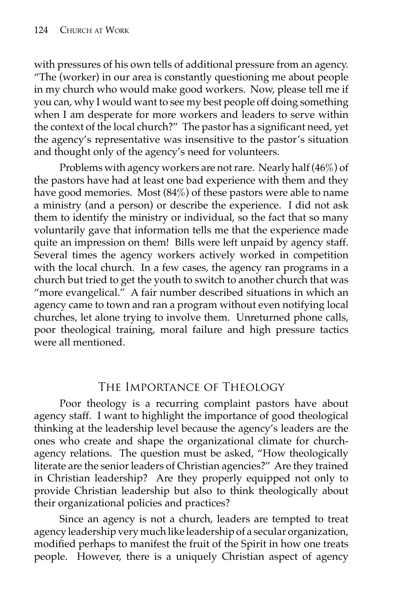with pressures of his own tells of additional pressure from an agency. "The (worker) in our area is constantly questioning me about people in my church who would make good workers. Now, please tell me if you can, why I would want to see my best people off doing something when I am desperate for more workers and leaders to serve within the context of the local church?" The pastor has a significant need, yet the agency's representative was insensitive to the pastor's situation and thought only of the agency's need for volunteers.

 Problems with agency workers are not rare. Nearly half (46%) of the pastors have had at least one bad experience with them and they have good memories. Most (84%) of these pastors were able to name a ministry (and a person) or describe the experience. I did not ask them to identify the ministry or individual, so the fact that so many voluntarily gave that information tells me that the experience made quite an impression on them! Bills were left unpaid by agency staff. Several times the agency workers actively worked in competition with the local church. In a few cases, the agency ran programs in a church but tried to get the youth to switch to another church that was "more evangelical." A fair number described situations in which an agency came to town and ran a program without even notifying local churches, let alone trying to involve them. Unreturned phone calls, poor theological training, moral failure and high pressure tactics were all mentioned.

#### The Importance of Theology

 Poor theology is a recurring complaint pastors have about agency staff. I want to highlight the importance of good theological thinking at the leadership level because the agency's leaders are the ones who create and shape the organizational climate for churchagency relations. The question must be asked, "How theologically literate are the senior leaders of Christian agencies?" Are they trained in Christian leadership? Are they properly equipped not only to provide Christian leadership but also to think theologically about their organizational policies and practices?

 Since an agency is not a church, leaders are tempted to treat agency leadership very much like leadership of a secular organization, modified perhaps to manifest the fruit of the Spirit in how one treats people. However, there is a uniquely Christian aspect of agency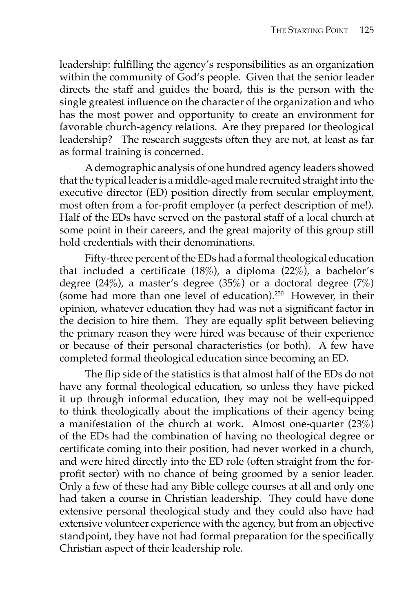leadership: fulfilling the agency's responsibilities as an organization within the community of God's people. Given that the senior leader directs the staff and guides the board, this is the person with the single greatest influence on the character of the organization and who has the most power and opportunity to create an environment for favorable church-agency relations. Are they prepared for theological leadership? The research suggests often they are not, at least as far as formal training is concerned.

 A demographic analysis of one hundred agency leaders showed that the typical leader is a middle-aged male recruited straight into the executive director (ED) position directly from secular employment, most often from a for-profit employer (a perfect description of me!). Half of the EDs have served on the pastoral staff of a local church at some point in their careers, and the great majority of this group still hold credentials with their denominations.

 Fifty-three percent of the EDs had a formal theological education that included a certificate  $(18\%)$ , a diploma  $(22\%)$ , a bachelor's degree  $(24\%)$ , a master's degree  $(35\%)$  or a doctoral degree  $(7\%)$ (some had more than one level of education).250 However, in their opinion, whatever education they had was not a significant factor in the decision to hire them. They are equally split between believing the primary reason they were hired was because of their experience or because of their personal characteristics (or both). A few have completed formal theological education since becoming an ED.

The flip side of the statistics is that almost half of the EDs do not have any formal theological education, so unless they have picked it up through informal education, they may not be well-equipped to think theologically about the implications of their agency being a manifestation of the church at work. Almost one-quarter (23%) of the EDs had the combination of having no theological degree or certificate coming into their position, had never worked in a church, and were hired directly into the ED role (often straight from the forprofit sector) with no chance of being groomed by a senior leader. Only a few of these had any Bible college courses at all and only one had taken a course in Christian leadership. They could have done extensive personal theological study and they could also have had extensive volunteer experience with the agency, but from an objective standpoint, they have not had formal preparation for the specifically Christian aspect of their leadership role.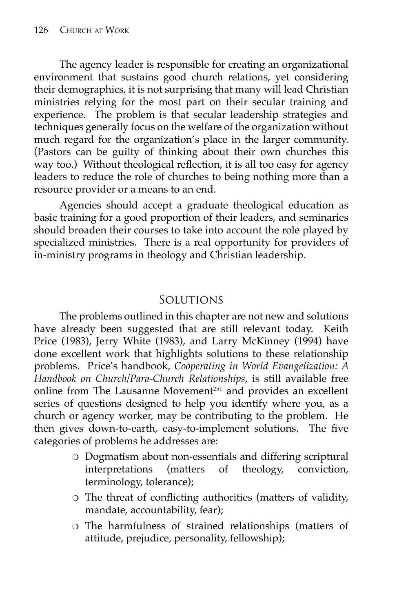The agency leader is responsible for creating an organizational environment that sustains good church relations, yet considering their demographics, it is not surprising that many will lead Christian ministries relying for the most part on their secular training and experience. The problem is that secular leadership strategies and techniques generally focus on the welfare of the organization without much regard for the organization's place in the larger community. (Pastors can be guilty of thinking about their own churches this way too.) Without theological reflection, it is all too easy for agency leaders to reduce the role of churches to being nothing more than a resource provider or a means to an end.

 Agencies should accept a graduate theological education as basic training for a good proportion of their leaders, and seminaries should broaden their courses to take into account the role played by specialized ministries. There is a real opportunity for providers of in-ministry programs in theology and Christian leadership.

#### Solutions

 The problems outlined in this chapter are not new and solutions have already been suggested that are still relevant today. Keith Price (1983), Jerry White (1983), and Larry McKinney (1994) have done excellent work that highlights solutions to these relationship problems. Price's handbook, *Cooperating in World Evangelization: A Handbook on Church/Para-Church Relationships,* is still available free online from The Lausanne Movement<sup>251</sup> and provides an excellent series of questions designed to help you identify where you, as a church or agency worker, may be contributing to the problem. He then gives down-to-earth, easy-to-implement solutions. The five categories of problems he addresses are:

- ❍ Dogmatism about non-essentials and differing scriptural interpretations (matters of theology, conviction, terminology, tolerance);
- o The threat of conflicting authorities (matters of validity, mandate, accountability, fear);
- ❍ The harmfulness of strained relationships (matters of attitude, prejudice, personality, fellowship);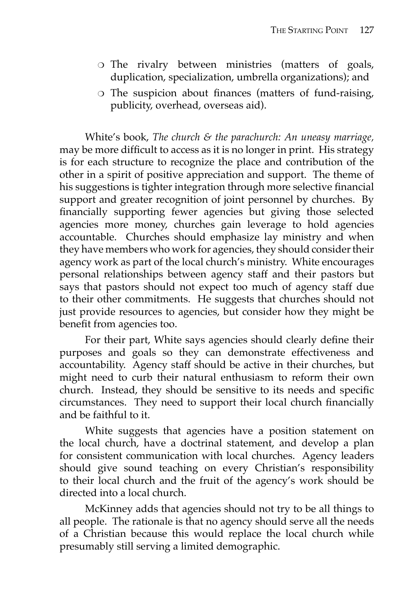- ❍ The rivalry between ministries (matters of goals, duplication, specialization, umbrella organizations); and
- $\circ$  The suspicion about finances (matters of fund-raising, publicity, overhead, overseas aid).

 White's book, *The church & the parachurch: An uneasy marriage,* may be more difficult to access as it is no longer in print. His strategy is for each structure to recognize the place and contribution of the other in a spirit of positive appreciation and support. The theme of his suggestions is tighter integration through more selective financial support and greater recognition of joint personnel by churches. By financially supporting fewer agencies but giving those selected agencies more money, churches gain leverage to hold agencies accountable. Churches should emphasize lay ministry and when they have members who work for agencies, they should consider their agency work as part of the local church's ministry. White encourages personal relationships between agency staff and their pastors but says that pastors should not expect too much of agency staff due to their other commitments. He suggests that churches should not just provide resources to agencies, but consider how they might be benefit from agencies too.

For their part, White says agencies should clearly define their purposes and goals so they can demonstrate effectiveness and accountability. Agency staff should be active in their churches, but might need to curb their natural enthusiasm to reform their own church. Instead, they should be sensitive to its needs and specific circumstances. They need to support their local church financially and be faithful to it.

 White suggests that agencies have a position statement on the local church, have a doctrinal statement, and develop a plan for consistent communication with local churches. Agency leaders should give sound teaching on every Christian's responsibility to their local church and the fruit of the agency's work should be directed into a local church.

 McKinney adds that agencies should not try to be all things to all people. The rationale is that no agency should serve all the needs of a Christian because this would replace the local church while presumably still serving a limited demographic.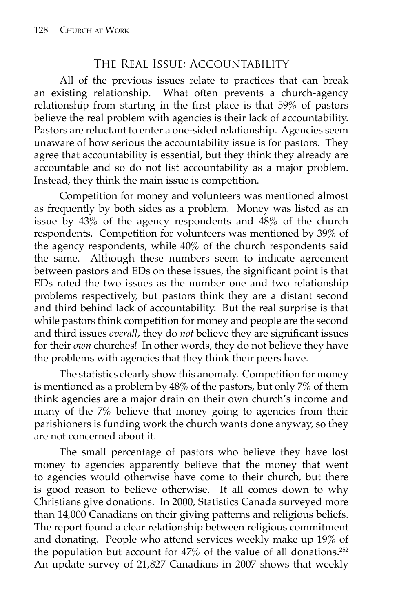#### The Real Issue: Accountability

 All of the previous issues relate to practices that can break an existing relationship. What often prevents a church-agency relationship from starting in the first place is that  $59\%$  of pastors believe the real problem with agencies is their lack of accountability. Pastors are reluctant to enter a one-sided relationship. Agencies seem unaware of how serious the accountability issue is for pastors. They agree that accountability is essential, but they think they already are accountable and so do not list accountability as a major problem. Instead, they think the main issue is competition.

 Competition for money and volunteers was mentioned almost as frequently by both sides as a problem. Money was listed as an issue by 43% of the agency respondents and 48% of the church respondents. Competition for volunteers was mentioned by 39% of the agency respondents, while 40% of the church respondents said the same. Although these numbers seem to indicate agreement between pastors and EDs on these issues, the significant point is that EDs rated the two issues as the number one and two relationship problems respectively, but pastors think they are a distant second and third behind lack of accountability. But the real surprise is that while pastors think competition for money and people are the second and third issues *overall*, they do *not* believe they are significant issues for their *own* churches! In other words, they do not believe they have the problems with agencies that they think their peers have.

 The statistics clearly show this anomaly. Competition for money is mentioned as a problem by 48% of the pastors, but only 7% of them think agencies are a major drain on their own church's income and many of the 7% believe that money going to agencies from their parishioners is funding work the church wants done anyway, so they are not concerned about it.

 The small percentage of pastors who believe they have lost money to agencies apparently believe that the money that went to agencies would otherwise have come to their church, but there is good reason to believe otherwise. It all comes down to why Christians give donations. In 2000, Statistics Canada surveyed more than 14,000 Canadians on their giving patterns and religious beliefs. The report found a clear relationship between religious commitment and donating. People who attend services weekly make up 19% of the population but account for  $47\%$  of the value of all donations.<sup>252</sup> An update survey of 21,827 Canadians in 2007 shows that weekly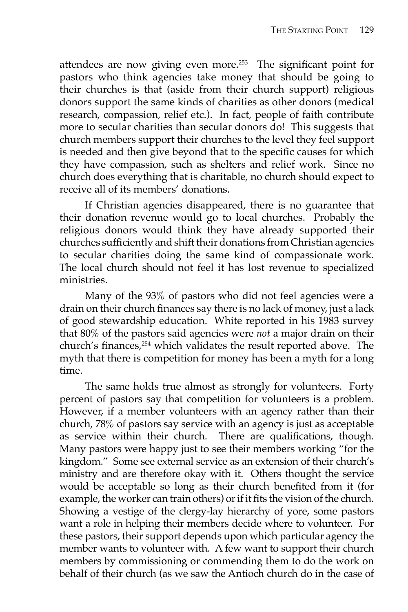attendees are now giving even more. $253$  The significant point for pastors who think agencies take money that should be going to their churches is that (aside from their church support) religious donors support the same kinds of charities as other donors (medical research, compassion, relief etc.). In fact, people of faith contribute more to secular charities than secular donors do! This suggests that church members support their churches to the level they feel support is needed and then give beyond that to the specific causes for which they have compassion, such as shelters and relief work. Since no church does everything that is charitable, no church should expect to receive all of its members' donations.

 If Christian agencies disappeared, there is no guarantee that their donation revenue would go to local churches. Probably the religious donors would think they have already supported their churches sufficiently and shift their donations from Christian agencies to secular charities doing the same kind of compassionate work. The local church should not feel it has lost revenue to specialized ministries.

 Many of the 93% of pastors who did not feel agencies were a drain on their church finances say there is no lack of money, just a lack of good stewardship education. White reported in his 1983 survey that 80% of the pastors said agencies were *not* a major drain on their church's finances,<sup>254</sup> which validates the result reported above. The myth that there is competition for money has been a myth for a long time.

 The same holds true almost as strongly for volunteers. Forty percent of pastors say that competition for volunteers is a problem. However, if a member volunteers with an agency rather than their church, 78% of pastors say service with an agency is just as acceptable as service within their church. There are qualifications, though. Many pastors were happy just to see their members working "for the kingdom." Some see external service as an extension of their church's ministry and are therefore okay with it. Others thought the service would be acceptable so long as their church benefited from it (for example, the worker can train others) or if it fits the vision of the church. Showing a vestige of the clergy-lay hierarchy of yore, some pastors want a role in helping their members decide where to volunteer. For these pastors, their support depends upon which particular agency the member wants to volunteer with. A few want to support their church members by commissioning or commending them to do the work on behalf of their church (as we saw the Antioch church do in the case of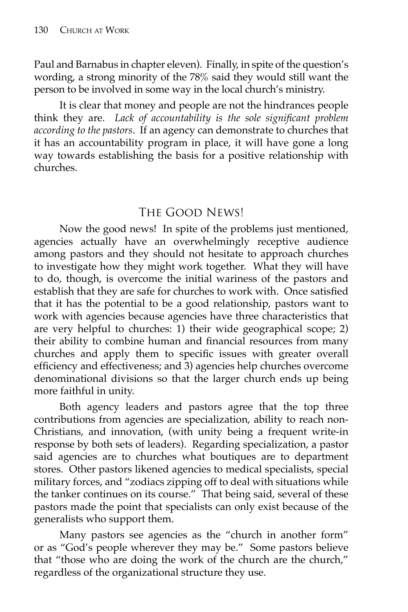Paul and Barnabus in chapter eleven). Finally, in spite of the question's wording, a strong minority of the 78% said they would still want the person to be involved in some way in the local church's ministry.

 It is clear that money and people are not the hindrances people think they are. Lack of accountability is the sole significant problem *according to the pastors*. If an agency can demonstrate to churches that it has an accountability program in place, it will have gone a long way towards establishing the basis for a positive relationship with churches.

## The Good News!

 Now the good news! In spite of the problems just mentioned, agencies actually have an overwhelmingly receptive audience among pastors and they should not hesitate to approach churches to investigate how they might work together. What they will have to do, though, is overcome the initial wariness of the pastors and establish that they are safe for churches to work with. Once satisfied that it has the potential to be a good relationship, pastors want to work with agencies because agencies have three characteristics that are very helpful to churches: 1) their wide geographical scope; 2) their ability to combine human and financial resources from many churches and apply them to specific issues with greater overall efficiency and effectiveness; and 3) agencies help churches overcome denominational divisions so that the larger church ends up being more faithful in unity.

 Both agency leaders and pastors agree that the top three contributions from agencies are specialization, ability to reach non-Christians, and innovation, (with unity being a frequent write-in response by both sets of leaders). Regarding specialization, a pastor said agencies are to churches what boutiques are to department stores. Other pastors likened agencies to medical specialists, special military forces, and "zodiacs zipping off to deal with situations while the tanker continues on its course." That being said, several of these pastors made the point that specialists can only exist because of the generalists who support them.

 Many pastors see agencies as the "church in another form" or as "God's people wherever they may be." Some pastors believe that "those who are doing the work of the church are the church," regardless of the organizational structure they use.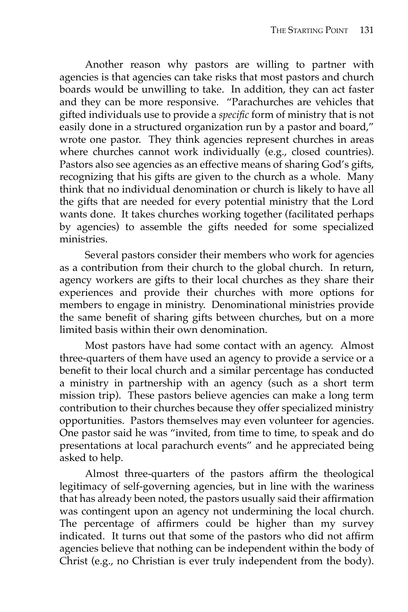Another reason why pastors are willing to partner with agencies is that agencies can take risks that most pastors and church boards would be unwilling to take. In addition, they can act faster and they can be more responsive. "Parachurches are vehicles that gifted individuals use to provide a *specific* form of ministry that is not easily done in a structured organization run by a pastor and board," wrote one pastor. They think agencies represent churches in areas where churches cannot work individually (e.g., closed countries). Pastors also see agencies as an effective means of sharing God's gifts, recognizing that his gifts are given to the church as a whole. Many think that no individual denomination or church is likely to have all the gifts that are needed for every potential ministry that the Lord wants done. It takes churches working together (facilitated perhaps by agencies) to assemble the gifts needed for some specialized ministries.

 Several pastors consider their members who work for agencies as a contribution from their church to the global church. In return, agency workers are gifts to their local churches as they share their experiences and provide their churches with more options for members to engage in ministry. Denominational ministries provide the same benefit of sharing gifts between churches, but on a more limited basis within their own denomination.

 Most pastors have had some contact with an agency. Almost three-quarters of them have used an agency to provide a service or a benefit to their local church and a similar percentage has conducted a ministry in partnership with an agency (such as a short term mission trip). These pastors believe agencies can make a long term contribution to their churches because they offer specialized ministry opportunities. Pastors themselves may even volunteer for agencies. One pastor said he was "invited, from time to time, to speak and do presentations at local parachurch events" and he appreciated being asked to help.

Almost three-quarters of the pastors affirm the theological legitimacy of self-governing agencies, but in line with the wariness that has already been noted, the pastors usually said their affirmation was contingent upon an agency not undermining the local church. The percentage of affirmers could be higher than my survey indicated. It turns out that some of the pastors who did not affirm agencies believe that nothing can be independent within the body of Christ (e.g., no Christian is ever truly independent from the body).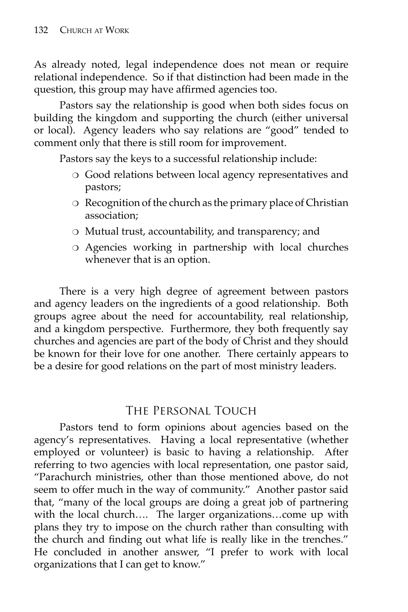As already noted, legal independence does not mean or require relational independence. So if that distinction had been made in the question, this group may have affirmed agencies too.

 Pastors say the relationship is good when both sides focus on building the kingdom and supporting the church (either universal or local). Agency leaders who say relations are "good" tended to comment only that there is still room for improvement.

Pastors say the keys to a successful relationship include:

- ❍ Good relations between local agency representatives and pastors;
- ❍ Recognition of the church as the primary place of Christian association;
- ❍ Mutual trust, accountability, and transparency; and
- ❍ Agencies working in partnership with local churches whenever that is an option.

 There is a very high degree of agreement between pastors and agency leaders on the ingredients of a good relationship. Both groups agree about the need for accountability, real relationship, and a kingdom perspective. Furthermore, they both frequently say churches and agencies are part of the body of Christ and they should be known for their love for one another. There certainly appears to be a desire for good relations on the part of most ministry leaders.

## The Personal Touch

 Pastors tend to form opinions about agencies based on the agency's representatives. Having a local representative (whether employed or volunteer) is basic to having a relationship. After referring to two agencies with local representation, one pastor said, "Parachurch ministries, other than those mentioned above, do not seem to offer much in the way of community." Another pastor said that, "many of the local groups are doing a great job of partnering with the local church…. The larger organizations…come up with plans they try to impose on the church rather than consulting with the church and finding out what life is really like in the trenches." He concluded in another answer, "I prefer to work with local organizations that I can get to know."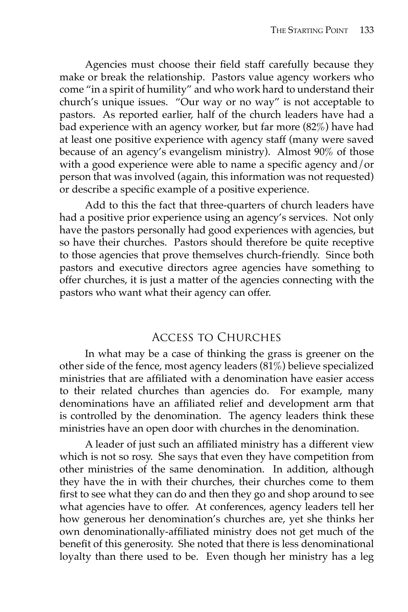Agencies must choose their field staff carefully because they make or break the relationship. Pastors value agency workers who come "in a spirit of humility" and who work hard to understand their church's unique issues. "Our way or no way" is not acceptable to pastors. As reported earlier, half of the church leaders have had a bad experience with an agency worker, but far more (82%) have had at least one positive experience with agency staff (many were saved because of an agency's evangelism ministry). Almost 90% of those with a good experience were able to name a specific agency and/or person that was involved (again, this information was not requested) or describe a specific example of a positive experience.

 Add to this the fact that three-quarters of church leaders have had a positive prior experience using an agency's services. Not only have the pastors personally had good experiences with agencies, but so have their churches. Pastors should therefore be quite receptive to those agencies that prove themselves church-friendly. Since both pastors and executive directors agree agencies have something to offer churches, it is just a matter of the agencies connecting with the pastors who want what their agency can offer.

## Access to Churches

 In what may be a case of thinking the grass is greener on the other side of the fence, most agency leaders (81%) believe specialized ministries that are affiliated with a denomination have easier access to their related churches than agencies do. For example, many denominations have an affiliated relief and development arm that is controlled by the denomination. The agency leaders think these ministries have an open door with churches in the denomination.

A leader of just such an affiliated ministry has a different view which is not so rosy. She says that even they have competition from other ministries of the same denomination. In addition, although they have the in with their churches, their churches come to them first to see what they can do and then they go and shop around to see what agencies have to offer. At conferences, agency leaders tell her how generous her denomination's churches are, yet she thinks her own denominationally-affiliated ministry does not get much of the benefit of this generosity. She noted that there is less denominational loyalty than there used to be. Even though her ministry has a leg